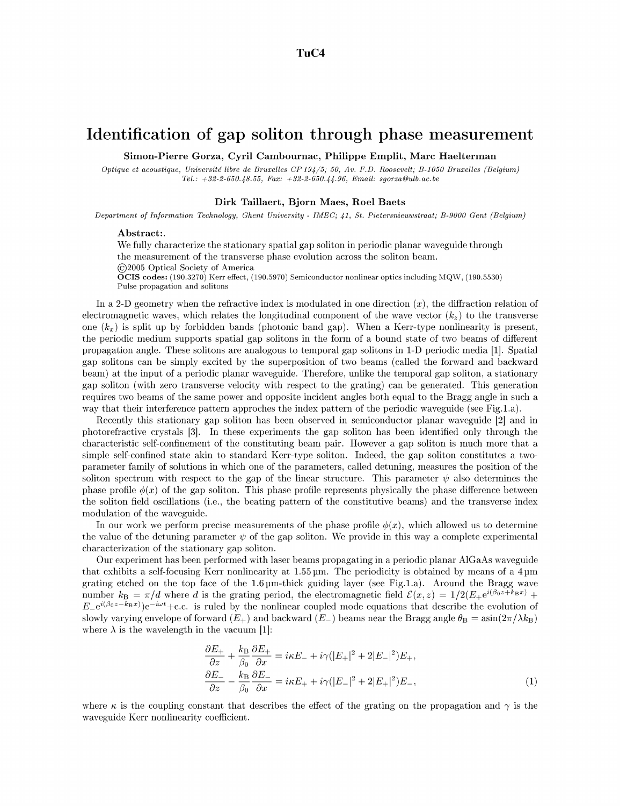## **Identification of gap soliton through phase measurement**

**Simon-Pierre Gorza, Cyril Cambournac, Philippe Emplit, Marc Haelterman** 

*Optique et acoustique, Université libre de Bruxelles CP194/5; 50, Av. F.D. Roosevelt; B-1050 Bruxelles (Belgium) Tel." +32-2-650.48.55, Fax: +32-2-650.44.96, Email: sgorza@ulb.ac.be* 

### **Dirk Taillaert, Bjorn Maes, Roel Baets**

*Department of Information Technology, Ghent University - IMEC; 41, St. Pietersnieuwstraat; t3-9000 Gent (Belgium)* 

### Abstract:.

We fully characterize the stationary spatial gap soliton in periodic planar waveguide through the measurement of the transverse phase evolution across the soliton beam. ©2005 Optical Society of America

 $\widetilde{\textbf{O}}$ CIS codes: (190.3270) Kerr effect, (190.5970) Semiconductor nonlinear optics including MQW, (190.5530) Pulse propagation and solitons

In a 2-D geometry when the refractive index is modulated in one direction  $(x)$ , the diffraction relation of electromagnetic waves, which relates the longitudinal component of the wave vector  $(k_z)$  to the transverse one  $(k_x)$  is split up by forbidden bands (photonic band gap). When a Kerr-type nonlinearity is present, the periodic medium supports spatial gap solitons in the form of a bound state of two beams of different propagation angle. These solitons are analogous to temporal gap solitons in I-D periodic media [1]. Spatial gap solitons can be simply excited by the superposition of two beams (called the forward and backward beam) at the input of a periodic planar waveguide. Therefore, unlike the temporal gap soliton, a stationary gap soliton (with zero transverse velocity with respect to the grating) can be generated. This generation requires two beams of the same power and opposite incident angles both equal to the Bragg angle in such a way that their interference pattern approches the index pattern of the periodic waveguide (see Fig.l.a).

Recently this stationary gap soliton has been observed in semiconductor planar waveguide [2] and in photorefractive crystals [3]. In these experiments the gap soliton has been identified only through the characteristic self-confinement of the constituting beam pair. However a gap soliton is much more that a simple self-confined state akin to standard Kerr-type soliton. Indeed, the gap soliton constitutes a twoparameter family of solutions in which one of the parameters, called detuning, measures the position of the soliton spectrum with respect to the gap of the linear structure. This parameter  $\psi$  also determines the phase profile  $\phi(x)$  of the gap soliton. This phase profile represents physically the phase difference between the soliton field oscillations (i.e., the beating pattern of the constitutive beams) and the transverse index modulation of the waveguide.

In our work we perform precise measurements of the phase profile  $\phi(x)$ , which allowed us to determine the value of the detuning parameter  $\psi$  of the gap soliton. We provide in this way a complete experimental characterization of the stationary gap soliton.

Our experiment has been performed with laser beams propagating in a periodic planar A1GaAs waveguide that exhibits a self-focusing Kerr nonlinearity at  $1.55 \,\mu$ m. The periodicity is obtained by means of a  $4 \,\mu$ m grating etched on the top face of the  $1.6 \mu$ m-thick guiding layer (see Fig.1.a). Around the Bragg wave number  $k_B = \pi/d$  where d is the grating period, the electromagnetic field  $\mathcal{E}(x, z) = 1/2(E_{+}e^{i(\beta_0 z + k_B x)} +$  $E_e^{i(\beta_0 z - k_B x)}e^{-i\omega t}$  + c.c. is ruled by the nonlinear coupled mode equations that describe the evolution of slowly varying envelope of forward  $(E_{+})$  and backward  $(E_{-})$  beams near the Bragg angle  $\theta_{\rm B} = \sin(2\pi/\lambda k_{\rm B})$ where  $\lambda$  is the wavelength in the vacuum [1]:

$$
\frac{\partial E_{+}}{\partial z} + \frac{k_{\rm B}}{\beta_0} \frac{\partial E_{+}}{\partial x} = i\kappa E_{-} + i\gamma (|E_{+}|^2 + 2|E_{-}|^2) E_{+},
$$
  
\n
$$
\frac{\partial E_{-}}{\partial z} - \frac{k_{\rm B}}{\beta_0} \frac{\partial E_{-}}{\partial x} = i\kappa E_{+} + i\gamma (|E_{-}|^2 + 2|E_{+}|^2) E_{-},
$$
\n(1)

where  $\kappa$  is the coupling constant that describes the effect of the grating on the propagation and  $\gamma$  is the waveguide Kerr nonlinearity coefficient.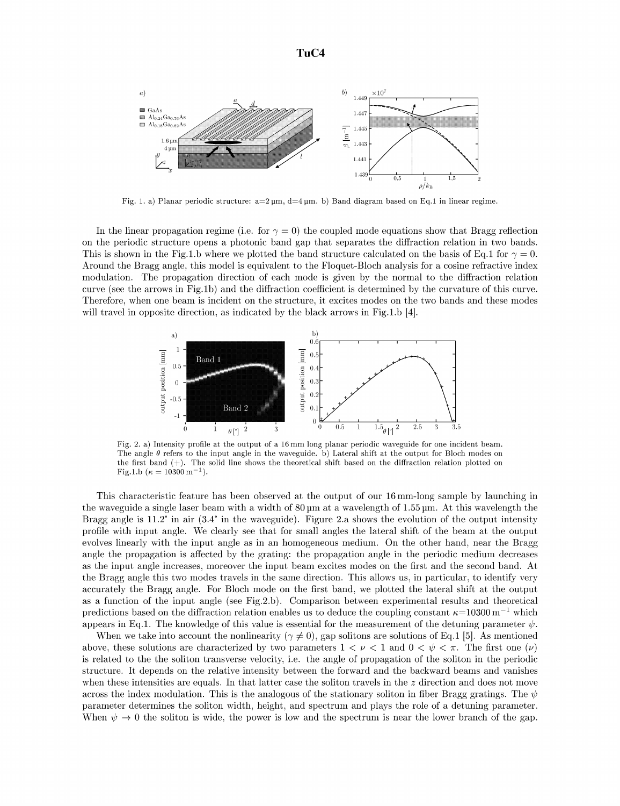

Fig. 1. a) Planar periodic structure:  $a=2 \mu m$ ,  $d=4 \mu m$ . b) Band diagram based on Eq.1 in linear regime.

In the linear propagation regime (i.e. for  $\gamma = 0$ ) the coupled mode equations show that Bragg reflection on the periodic structure opens a photonic band gap that separates the diffraction relation in two bands. This is shown in the Fig.1.b where we plotted the band structure calculated on the basis of Eq.1 for  $\gamma = 0$ . Around the Bragg angle, this model is equivalent to the Floquet-Bloch analysis for a cosine refractive index modulation. The propagation direction of each mode is given by the normal to the diffraction relation curve (see the arrows in Fig.lb) and the diffraction coefficient is determined by the curvature of this curve. Therefore, when one beam is incident on the structure, it excites modes on the two bands and these modes will travel in opposite direction, as indicated by the black arrows in Fig.1.b [4].



Fig. 2. a) Intensity profile at the output of a 16 mm long planar periodic waveguide for one incident beam. The angle  $\theta$  refers to the input angle in the waveguide. b) Lateral shift at the output for Bloch modes on the first band (+). The solid line shows the theoretical shift based on the diffraction relation plotted on Fig.1.b ( $\kappa = 10300 \text{ m}^{-1}$ ).

This characteristic feature has been observed at the output of our 16 mm-long sample by launching in the waveguide a single laser beam with a width of  $80 \mu m$  at a wavelength of  $1.55 \mu m$ . At this wavelength the Bragg angle is 11.2 ° in air (3.4 ° in the waveguide). Figure 2.a shows the evolution of the output intensity profile with input angle. We clearly see that for small angles the lateral shift of the beam at the output evolves linearly with the input angle as in an homogeneous medium. On the other hand, near the Bragg angle the propagation is affected by the grating: the propagation angle in the periodic medium decreases as the input angle increases, moreover the input beam excites modes on the first and the second band. At the Bragg angle this two modes travels in the same direction. This allows us, in particular, to identify very accurately the Bragg angle. For Bloch mode on the first band, we plotted the lateral shift at the output as a function of the input angle (see Fig.2.b). Comparison between experimental results and theoretical predictions based on the diffraction relation enables us to deduce the coupling constant  $\kappa=10300$  m<sup>-1</sup> which appears in Eq.1. The knowledge of this value is essential for the measurement of the detuning parameter  $\psi$ .

When we take into account the nonlinearity ( $\gamma \neq 0$ ), gap solitons are solutions of Eq.1 [5]. As mentioned above, these solutions are characterized by two parameters  $1 < \nu < 1$  and  $0 < \psi < \pi$ . The first one  $(\nu)$ is related to the the soliton transverse velocity, i.e. the angle of propagation of the soliton in the periodic structure. It depends on the relative intensity between the forward and the backward beams and vanishes when these intensities are equals. In that latter case the soliton travels in the  $z$  direction and does not move across the index modulation. This is the analogous of the stationary soliton in fiber Bragg gratings. The  $\psi$ parameter determines the soliton width, height, and spectrum and plays the role of a detuning parameter. When  $\psi \to 0$  the soliton is wide, the power is low and the spectrum is near the lower branch of the gap.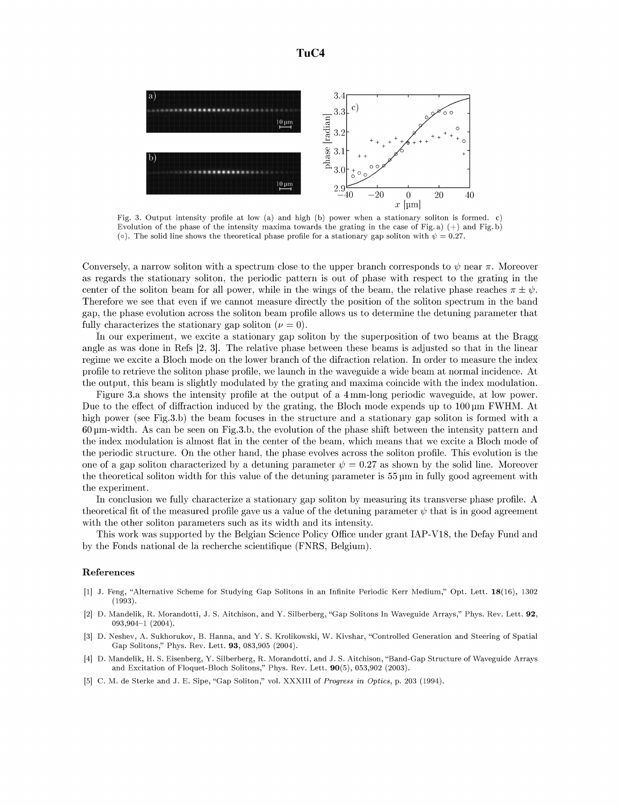

Fig. 3. Output intensity profile at low (a) and high (b) power when a stationary soliton is formed, c) Evolution of the phase of the intensity maxima towards the grating in the case of Fig. a)  $(+)$  and Fig. b) (o). The solid line shows the theoretical phase profile for a stationary gap soliton with  $\psi = 0.27$ .

Conversely, a narrow soliton with a spectrum close to the upper branch corresponds to  $\psi$  near  $\pi$ . Moreover as regards the stationary soliton, the periodic pattern is out of phase with respect to the grating in the center of the soliton beam for all power, while in the wings of the beam, the relative phase reaches  $\pi \pm \psi$ . Therefore we see that even if we cannot measure directly the position of the soliton spectrum in the band gap, the phase evolution across the soliton beam profile allows us to determine the detuning parameter that fully characterizes the stationary gap soliton  $(\nu = 0)$ .

In our experiment, we excite a stationary gap soliton by the superposition of two beams at the Bragg angle as was done in Refs 12, 3]. The relative phase between these beams is adjusted so that in the linear regime we excite a Bloch mode on the lower branch of the difraction relation. In order to measure the index profile to retrieve the soliton phase profile, we launch in the waveguide a wide beam at normal incidence. At the output, this beam is slightly modulated by the grating and maxima coincide with the index modulation.

Figure 3.a shows the intensity profile at the output of a 4ram-long periodic waveguide, at low power. Due to the effect of diffraction induced by the grating, the Bloch mode expends up to 100 pm FWHM. At high power (see Fig.3.b) the beam focuses in the structure and a stationary gap soliton is formed with a  $60 \mu m$ -width. As can be seen on Fig.3.b, the evolution of the phase shift between the intensity pattern and the index modulation is almost flat in the center of the beam, which means that we excite a Bloch mode of the periodic structure. On the other hand, the phase evolves across the soliton profile. This evolution is the one of a gap soliton characterized by a detuning parameter  $\psi = 0.27$  as shown by the solid line. Moreover the theoretical soliton width for this value of the detuning parameter is 55 pm in fully good agreement with the experiment.

In conclusion we fully characterize a stationary gap soliton by measuring its transverse phase profile. A theoretical fit of the measured profile gave us a value of the detuning parameter  $\psi$  that is in good agreement with the other soliton parameters such as its width and its intensity.

This work was supported by the Belgian Science Policy Office under grant IAP-V18, the Defay Fund and by the Fonds national de la recherche scientifique (FNRS, Belgium).

### **References**

- [1] J. Feng, "Alternative Scheme for Studying Gap Solitons in an Infinite Periodic Kerr Medium," Opt. Lett. 18(16), 1302 (1993).
- [2] D. Mandelik, R. Morandotti, J. S. Aitchison, and Y. Silberberg, "Gap Solitons In Waveguide Arrays," Phys. Rev. Lett. 92, O93,904-1 (2004).
- [3] D. Neshev, A. Sukhorukov, B. Hanna, and Y. S. Krolikowski, W. Kivshar, "Controlled Generation and Steering of Spatial Gap Solitons," Phys. Rev. Lett. 93, 083,905 (2004).
- [4] D. Mandelik, H. S. Eisenberg, Y. Silberberg, R. Morandotti, and J. S. Aitchison, "Band-Gap Structure of Waveguide Arrays and Excitation of Floquet-Bloch Solitons," Phys. Rev. Lett. 90(5), 053,902 (2003).
- [5] C. M. de Sterke and J. E. Sipe, "Gap Soliton," vol. XXXIII of *Progress in Optics,* p. 203 (1994).